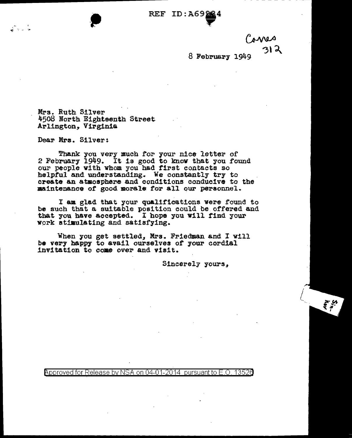aena 312

 $\vec{r}$ 

8 February 1949

Mrs. Ruth Silver 4508 North Eighteenth Street Arlington, Virginia

Dear Mrs. Silver:

- 1

Thank you very much for your nice letter of<br>2 February 1949. It is good to know that you found our people with whom you had first contacts so helpful and understanding. We constantly try to create an atmosphere and conditions conducive to the maintenance of good morale for all our personnel.

I am glad that your qualifications were found to be such that a suitable position could be offered and that you have accepted. I hope you will find your Work stimulating and satisfying.

When you get settled, Mrs. Friedman and I will be very happy to avail ourselves of your cordial invitation to come over and visit.

Sincerely yours,

Approved for Release by NSA on 04-01-2014 pursuant to E.O. 13526